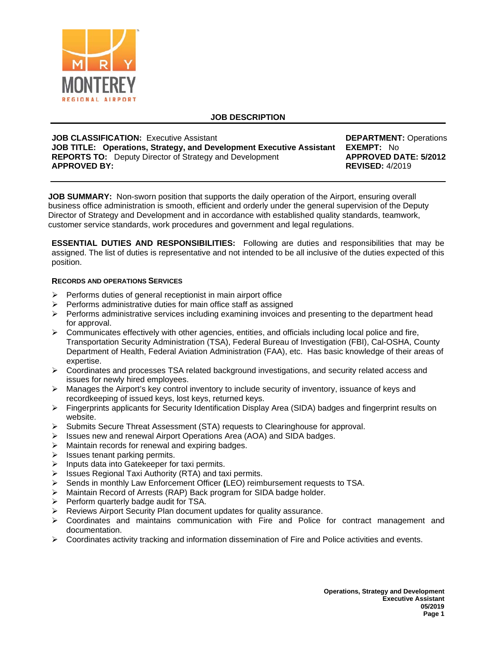

# **JOB DESCRIPTION**

| <b>JOB CLASSIFICATION: Executive Assistant</b>                                                                                                                | <b>DEPARTMENT: Operations</b>                                               |
|---------------------------------------------------------------------------------------------------------------------------------------------------------------|-----------------------------------------------------------------------------|
| JOB TITLE: Operations, Strategy, and Development Executive Assistant<br><b>REPORTS TO:</b> Deputy Director of Strategy and Development<br><b>APPROVED BY:</b> | <b>EXEMPT:</b> No<br><b>APPROVED DATE: 5/2012</b><br><b>REVISED:</b> 4/2019 |
|                                                                                                                                                               |                                                                             |

**JOB SUMMARY:** Non-sworn position that supports the daily operation of the Airport, ensuring overall business office administration is smooth, efficient and orderly under the general supervision of the Deputy Director of Strategy and Development and in accordance with established quality standards, teamwork, customer service standards, work procedures and government and legal regulations.

**ESSENTIAL DUTIES AND RESPONSIBILITIES:** Following are duties and responsibilities that may be assigned. The list of duties is representative and not intended to be all inclusive of the duties expected of this position.

## **RECORDS AND OPERATIONS SERVICES**

- $\triangleright$  Performs duties of general receptionist in main airport office
- $\triangleright$  Performs administrative duties for main office staff as assigned
- $\triangleright$  Performs administrative services including examining invoices and presenting to the department head for approval.
- $\triangleright$  Communicates effectively with other agencies, entities, and officials including local police and fire, Transportation Security Administration (TSA), Federal Bureau of Investigation (FBI), Cal-OSHA, County Department of Health, Federal Aviation Administration (FAA), etc. Has basic knowledge of their areas of expertise.
- $\triangleright$  Coordinates and processes TSA related background investigations, and security related access and issues for newly hired employees.
- $\triangleright$  Manages the Airport's key control inventory to include security of inventory, issuance of keys and recordkeeping of issued keys, lost keys, returned keys.
- $\triangleright$  Fingerprints applicants for Security Identification Display Area (SIDA) badges and fingerprint results on website.
- $\triangleright$  Submits Secure Threat Assessment (STA) requests to Clearinghouse for approval.<br>  $\triangleright$  Issues new and renewal Airport Operations Area (AOA) and SIDA badges.
- Issues new and renewal Airport Operations Area (AOA) and SIDA badges.
- $\triangleright$  Maintain records for renewal and expiring badges.
- $\triangleright$  Issues tenant parking permits.
- $\triangleright$  Inputs data into Gatekeeper for taxi permits.
- $\triangleright$  Issues Regional Taxi Authority (RTA) and taxi permits.
- Sends in monthly Law Enforcement Officer **(**LEO) reimbursement requests to TSA.
- > Maintain Record of Arrests (RAP) Back program for SIDA badge holder.
- $\triangleright$  Perform quarterly badge audit for TSA.
- $\triangleright$  Reviews Airport Security Plan document updates for quality assurance.
- $\triangleright$  Coordinates and maintains communication with Fire and Police for contract management and documentation.
- $\triangleright$  Coordinates activity tracking and information dissemination of Fire and Police activities and events.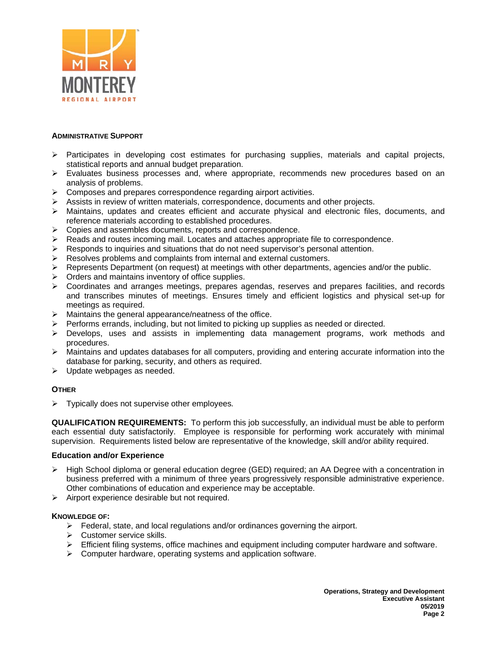

## **ADMINISTRATIVE SUPPORT**

- $\triangleright$  Participates in developing cost estimates for purchasing supplies, materials and capital projects, statistical reports and annual budget preparation.
- $\triangleright$  Evaluates business processes and, where appropriate, recommends new procedures based on an analysis of problems.
- $\triangleright$  Composes and prepares correspondence regarding airport activities.
- Assists in review of written materials, correspondence, documents and other projects.
- $\triangleright$  Maintains, updates and creates efficient and accurate physical and electronic files, documents, and reference materials according to established procedures.
- $\triangleright$  Copies and assembles documents, reports and correspondence.
- $\triangleright$  Reads and routes incoming mail. Locates and attaches appropriate file to correspondence.
- $\triangleright$  Responds to inquiries and situations that do not need supervisor's personal attention.
- $\triangleright$  Resolves problems and complaints from internal and external customers.
- Represents Department (on request) at meetings with other departments, agencies and/or the public.
- $\triangleright$  Orders and maintains inventory of office supplies.
- $\triangleright$  Coordinates and arranges meetings, prepares agendas, reserves and prepares facilities, and records and transcribes minutes of meetings. Ensures timely and efficient logistics and physical set-up for meetings as required.
- Maintains the general appearance/neatness of the office.
- $\triangleright$  Performs errands, including, but not limited to picking up supplies as needed or directed.
- $\triangleright$  Develops, uses and assists in implementing data management programs, work methods and procedures.
- $\triangleright$  Maintains and updates databases for all computers, providing and entering accurate information into the database for parking, security, and others as required.
- $\triangleright$  Update webpages as needed.

## **OTHER**

Typically does not supervise other employees*.*

**QUALIFICATION REQUIREMENTS:** To perform this job successfully, an individual must be able to perform each essential duty satisfactorily. Employee is responsible for performing work accurately with minimal supervision. Requirements listed below are representative of the knowledge, skill and/or ability required.

## **Education and/or Experience**

- $\triangleright$  High School diploma or general education degree (GED) required; an AA Degree with a concentration in business preferred with a minimum of three years progressively responsible administrative experience. Other combinations of education and experience may be acceptable.
- $\triangleright$  Airport experience desirable but not required.

## **KNOWLEDGE OF:**

- $\triangleright$  Federal, state, and local regulations and/or ordinances governing the airport.
- $\triangleright$  Customer service skills.
- $\triangleright$  Efficient filing systems, office machines and equipment including computer hardware and software.
- $\triangleright$  Computer hardware, operating systems and application software.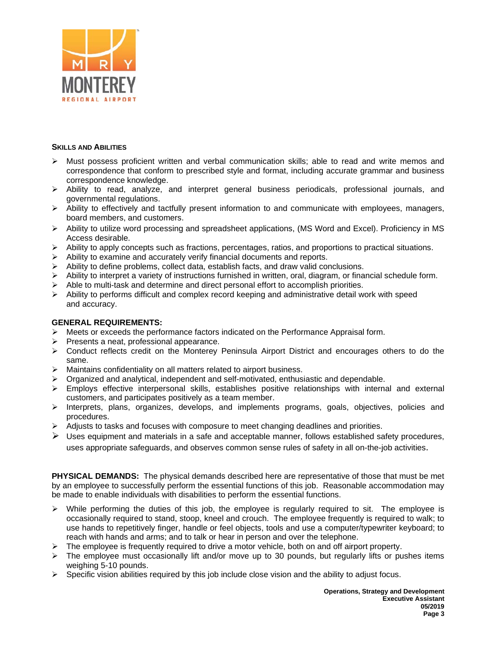

## **SKILLS AND ABILITIES**

- $\triangleright$  Must possess proficient written and verbal communication skills; able to read and write memos and correspondence that conform to prescribed style and format, including accurate grammar and business correspondence knowledge.
- $\triangleright$  Ability to read, analyze, and interpret general business periodicals, professional journals, and governmental regulations.
- $\triangleright$  Ability to effectively and tactfully present information to and communicate with employees, managers, board members, and customers.
- Ability to utilize word processing and spreadsheet applications, (MS Word and Excel). Proficiency in MS Access desirable.
- $\triangleright$  Ability to apply concepts such as fractions, percentages, ratios, and proportions to practical situations.
- $\triangleright$  Ability to examine and accurately verify financial documents and reports.
- $\triangleright$  Ability to define problems, collect data, establish facts, and draw valid conclusions.
- $\triangleright$  Ability to interpret a variety of instructions furnished in written, oral, diagram, or financial schedule form.
- $\geq$  Able to multi-task and determine and direct personal effort to accomplish priorities.<br> $\geq$  Ability to performs difficult and complex record keeping and administrative detail we
- Ability to performs difficult and complex record keeping and administrative detail work with speed and accuracy.

## **GENERAL REQUIREMENTS:**

- $\triangleright$  Meets or exceeds the performance factors indicated on the Performance Appraisal form.
- Presents a neat, professional appearance.
- Conduct reflects credit on the Monterey Peninsula Airport District and encourages others to do the same.
- $\triangleright$  Maintains confidentiality on all matters related to airport business.
- $\triangleright$  Organized and analytical, independent and self-motivated, enthusiastic and dependable.
- $\triangleright$  Employs effective interpersonal skills, establishes positive relationships with internal and external customers, and participates positively as a team member.
- $\triangleright$  Interprets, plans, organizes, develops, and implements programs, goals, objectives, policies and procedures.
- $\triangleright$  Adjusts to tasks and focuses with composure to meet changing deadlines and priorities.
- $\triangleright$  Uses equipment and materials in a safe and acceptable manner, follows established safety procedures, uses appropriate safeguards, and observes common sense rules of safety in all on-the-job activities.

**PHYSICAL DEMANDS:** The physical demands described here are representative of those that must be met by an employee to successfully perform the essential functions of this job. Reasonable accommodation may be made to enable individuals with disabilities to perform the essential functions.

- $\triangleright$  While performing the duties of this job, the employee is regularly required to sit. The employee is occasionally required to stand, stoop, kneel and crouch. The employee frequently is required to walk; to use hands to repetitively finger, handle or feel objects, tools and use a computer/typewriter keyboard; to reach with hands and arms; and to talk or hear in person and over the telephone.
- The employee is frequently required to drive a motor vehicle, both on and off airport property.
- $\triangleright$  The employee must occasionally lift and/or move up to 30 pounds, but regularly lifts or pushes items weighing 5-10 pounds.
- $\triangleright$  Specific vision abilities required by this job include close vision and the ability to adjust focus.